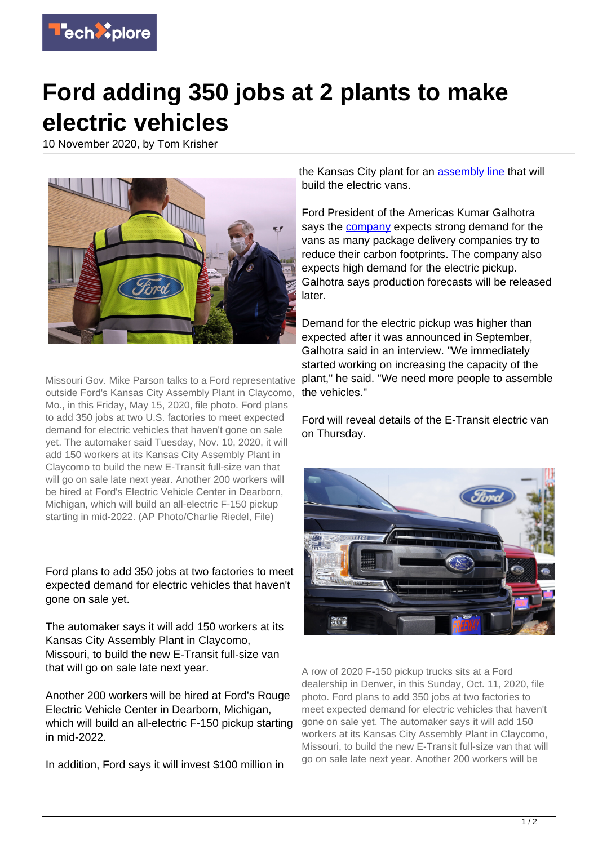

## **Ford adding 350 jobs at 2 plants to make electric vehicles**

10 November 2020, by Tom Krisher



Missouri Gov. Mike Parson talks to a Ford representative outside Ford's Kansas City Assembly Plant in Claycomo, Mo., in this Friday, May 15, 2020, file photo. Ford plans to add 350 jobs at two U.S. factories to meet expected demand for electric vehicles that haven't gone on sale yet. The automaker said Tuesday, Nov. 10, 2020, it will add 150 workers at its Kansas City Assembly Plant in Claycomo to build the new E-Transit full-size van that will go on sale late next year. Another 200 workers will be hired at Ford's Electric Vehicle Center in Dearborn, Michigan, which will build an all-electric F-150 pickup starting in mid-2022. (AP Photo/Charlie Riedel, File)

Ford plans to add 350 jobs at two factories to meet expected demand for electric vehicles that haven't gone on sale yet.

The automaker says it will add 150 workers at its Kansas City Assembly Plant in Claycomo, Missouri, to build the new E-Transit full-size van that will go on sale late next year.

Another 200 workers will be hired at Ford's Rouge Electric Vehicle Center in Dearborn, Michigan, which will build an all-electric F-150 pickup starting in mid-2022.

In addition, Ford says it will invest \$100 million in

the Kansas City plant for an [assembly line](https://techxplore.com/tags/assembly+line/) that will build the electric vans.

Ford President of the Americas Kumar Galhotra says the **company** expects strong demand for the vans as many package delivery companies try to reduce their carbon footprints. The company also expects high demand for the electric pickup. Galhotra says production forecasts will be released later.

Demand for the electric pickup was higher than expected after it was announced in September, Galhotra said in an interview. "We immediately started working on increasing the capacity of the plant," he said. "We need more people to assemble the vehicles."

Ford will reveal details of the E-Transit electric van on Thursday.



A row of 2020 F-150 pickup trucks sits at a Ford dealership in Denver, in this Sunday, Oct. 11, 2020, file photo. Ford plans to add 350 jobs at two factories to meet expected demand for electric vehicles that haven't gone on sale yet. The automaker says it will add 150 workers at its Kansas City Assembly Plant in Claycomo, Missouri, to build the new E-Transit full-size van that will go on sale late next year. Another 200 workers will be